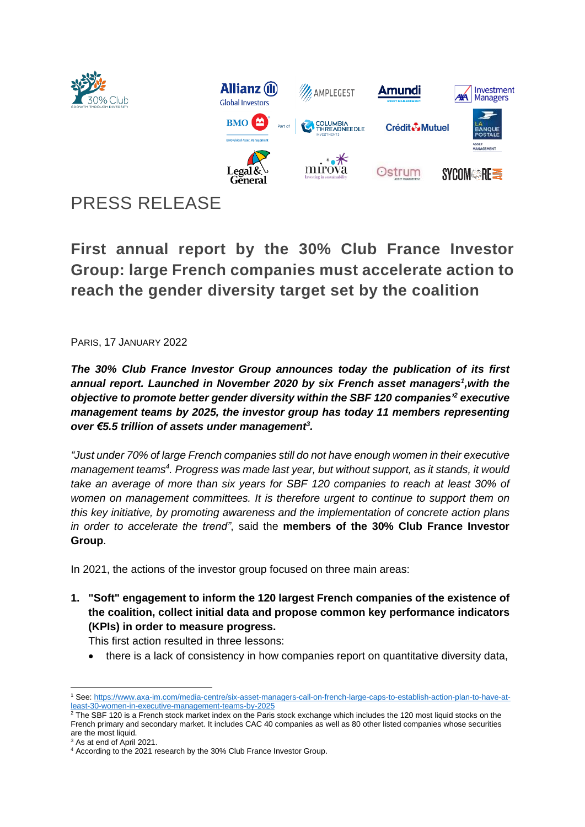

# PRESS RELEASE

**First annual report by the 30% Club France Investor Group: large French companies must accelerate action to reach the gender diversity target set by the coalition**

PARIS, 17 JANUARY 2022

*The 30% Club France Investor Group announces today the publication of its first annual report. Launched in November 2020 by six French asset managers<sup>1</sup> ,with the objective to promote better gender diversity within the SBF 120 companies'<sup>2</sup> executive management teams by 2025, the investor group has today 11 members representing over €5.5 trillion of assets under management<sup>3</sup> .*

*"Just under 70% of large French companies still do not have enough women in their executive management teams<sup>4</sup> . Progress was made last year, but without support, as it stands, it would take an average of more than six years for SBF 120 companies to reach at least 30% of women on management committees. It is therefore urgent to continue to support them on this key initiative, by promoting awareness and the implementation of concrete action plans in order to accelerate the trend"*, said the **members of the 30% Club France Investor Group**.

In 2021, the actions of the investor group focused on three main areas:

**1. "Soft" engagement to inform the 120 largest French companies of the existence of the coalition, collect initial data and propose common key performance indicators (KPIs) in order to measure progress.**

This first action resulted in three lessons:

• there is a lack of consistency in how companies report on quantitative diversity data,

<sup>1</sup> See[: https://www.axa-im.com/media-centre/six-asset-managers-call-on-french-large-caps-to-establish-action-plan-to-have-at](https://www.axa-im.com/media-centre/six-asset-managers-call-on-french-large-caps-to-establish-action-plan-to-have-at-least-30-women-in-executive-management-teams-by-2025)[least-30-women-in-executive-management-teams-by-2025](https://www.axa-im.com/media-centre/six-asset-managers-call-on-french-large-caps-to-establish-action-plan-to-have-at-least-30-women-in-executive-management-teams-by-2025)

 $2$  The SBF 120 is a French stock market index on the Paris stock exchange which includes the 120 most liquid stocks on the French primary and secondary market. It includes CAC 40 companies as well as 80 other listed companies whose securities are the most liquid.

<sup>3</sup> As at end of April 2021.

<sup>4</sup> According to the 2021 research by the 30% Club France Investor Group.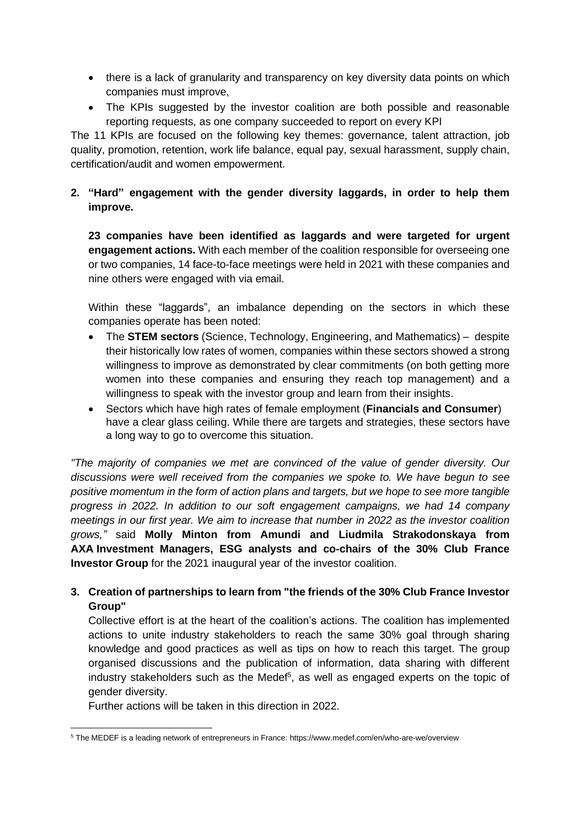- there is a lack of granularity and transparency on key diversity data points on which companies must improve,
- The KPIs suggested by the investor coalition are both possible and reasonable reporting requests, as one company succeeded to report on every KPI

The 11 KPIs are focused on the following key themes: governance, talent attraction, job quality, promotion, retention, work life balance, equal pay, sexual harassment, supply chain, certification/audit and women empowerment.

## **2. "Hard" engagement with the gender diversity laggards, in order to help them improve.**

**23 companies have been identified as laggards and were targeted for urgent engagement actions.** With each member of the coalition responsible for overseeing one or two companies, 14 face-to-face meetings were held in 2021 with these companies and nine others were engaged with via email.

Within these "laggards", an imbalance depending on the sectors in which these companies operate has been noted:

- The **STEM sectors** (Science, Technology, Engineering, and Mathematics) despite their historically low rates of women, companies within these sectors showed a strong willingness to improve as demonstrated by clear commitments (on both getting more women into these companies and ensuring they reach top management) and a willingness to speak with the investor group and learn from their insights.
- Sectors which have high rates of female employment (**Financials and Consumer**) have a clear glass ceiling. While there are targets and strategies, these sectors have a long way to go to overcome this situation.

*"The majority of companies we met are convinced of the value of gender diversity. Our discussions were well received from the companies we spoke to. We have begun to see positive momentum in the form of action plans and targets, but we hope to see more tangible progress in 2022. In addition to our soft engagement campaigns, we had 14 company meetings in our first year. We aim to increase that number in 2022 as the investor coalition grows,"* said **Molly Minton from Amundi and Liudmila Strakodonskaya from AXA Investment Managers, ESG analysts and co-chairs of the 30% Club France Investor Group** for the 2021 inaugural year of the investor coalition.

## **3. Creation of partnerships to learn from "the friends of the 30% Club France Investor Group"**

Collective effort is at the heart of the coalition's actions. The coalition has implemented actions to unite industry stakeholders to reach the same 30% goal through sharing knowledge and good practices as well as tips on how to reach this target. The group organised discussions and the publication of information, data sharing with different industry stakeholders such as the Medef<sup>5</sup>, as well as engaged experts on the topic of gender diversity.

Further actions will be taken in this direction in 2022.

<sup>5</sup> The MEDEF is a leading network of entrepreneurs in France: <https://www.medef.com/en/who-are-we/overview>